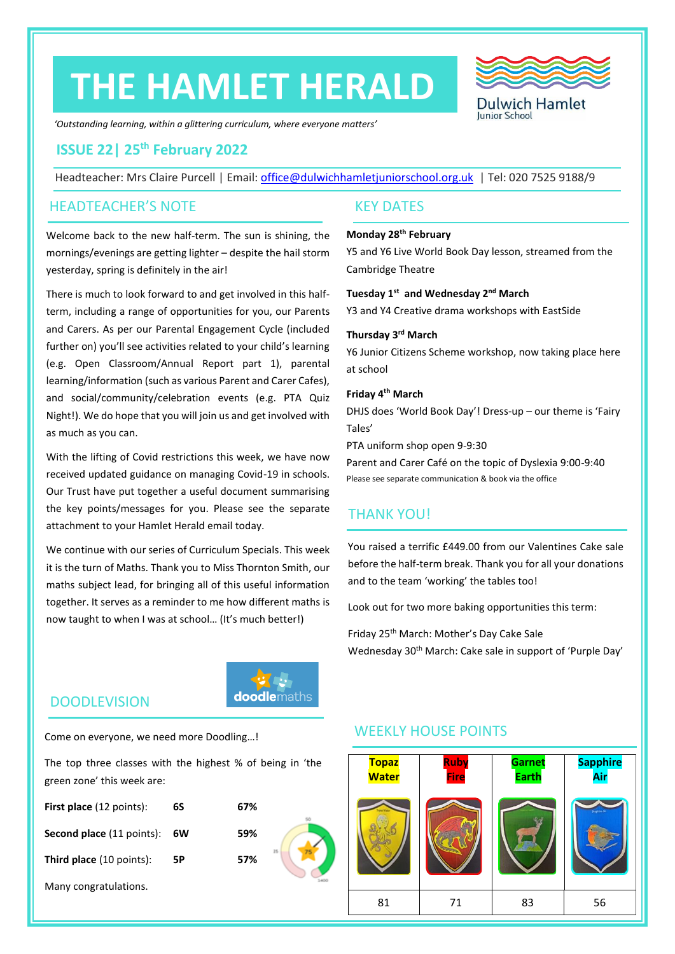# **THE HAMLET HERALD**



*'Outstanding learning, within a glittering curriculum, where everyone matters'*

### **ISSUE 22| 25 th February 2022**

Headteacher: Mrs Claire Purcell | Email: [office@dulwichhamletjuniorschool.org.uk](mailto:office@dulwichhamletjuniorschool.org.uk) | Tel: 020 7525 9188/9

### HEADTEACHER'S NOTE KEY DATES

Welcome back to the new half-term. The sun is shining, the mornings/evenings are getting lighter – despite the hail storm yesterday, spring is definitely in the air!

There is much to look forward to and get involved in this halfterm, including a range of opportunities for you, our Parents and Carers. As per our Parental Engagement Cycle (included further on) you'll see activities related to your child's learning (e.g. Open Classroom/Annual Report part 1), parental learning/information (such as various Parent and Carer Cafes), and social/community/celebration events (e.g. PTA Quiz Night!). We do hope that you will join us and get involved with as much as you can.

With the lifting of Covid restrictions this week, we have now received updated guidance on managing Covid-19 in schools. Our Trust have put together a useful document summarising the key points/messages for you. Please see the separate attachment to your Hamlet Herald email today.

We continue with our series of Curriculum Specials. This week it is the turn of Maths. Thank you to Miss Thornton Smith, our maths subject lead, for bringing all of this useful information together. It serves as a reminder to me how different maths is now taught to when I was at school… (It's much better!)

### **Monday 28th February**

Y5 and Y6 Live World Book Day lesson, streamed from the Cambridge Theatre

**Tuesday 1st and Wednesday 2nd March** Y3 and Y4 Creative drama workshops with EastSide

#### **Thursday 3rd March**

Y6 Junior Citizens Scheme workshop, now taking place here at school

### **Friday 4th March**

DHJS does 'World Book Day'! Dress-up – our theme is 'Fairy Tales'

PTA uniform shop open 9-9:30

Parent and Carer Café on the topic of Dyslexia 9:00-9:40 Please see separate communication & book via the office

### THANK YOU!

You raised a terrific £449.00 from our Valentines Cake sale before the half-term break. Thank you for all your donations and to the team 'working' the tables too!

Look out for two more baking opportunities this term:

Friday 25th March: Mother's Day Cake Sale Wednesday 30<sup>th</sup> March: Cake sale in support of 'Purple Day'

### DOODLEVISION

Come on everyone, we need more Doodling…!

The top three classes with the highest % of being in 'the green zone' this week are:

**doodle**maths

| <b>First place</b> (12 points):  | 6S | 67% |    |
|----------------------------------|----|-----|----|
| <b>Second place</b> (11 points): | 6W | 59% |    |
| <b>Third place</b> (10 points):  | 5Р | 57% | 25 |
| Many congratulations.            |    |     |    |

### WEEKLY HOUSE POINTS

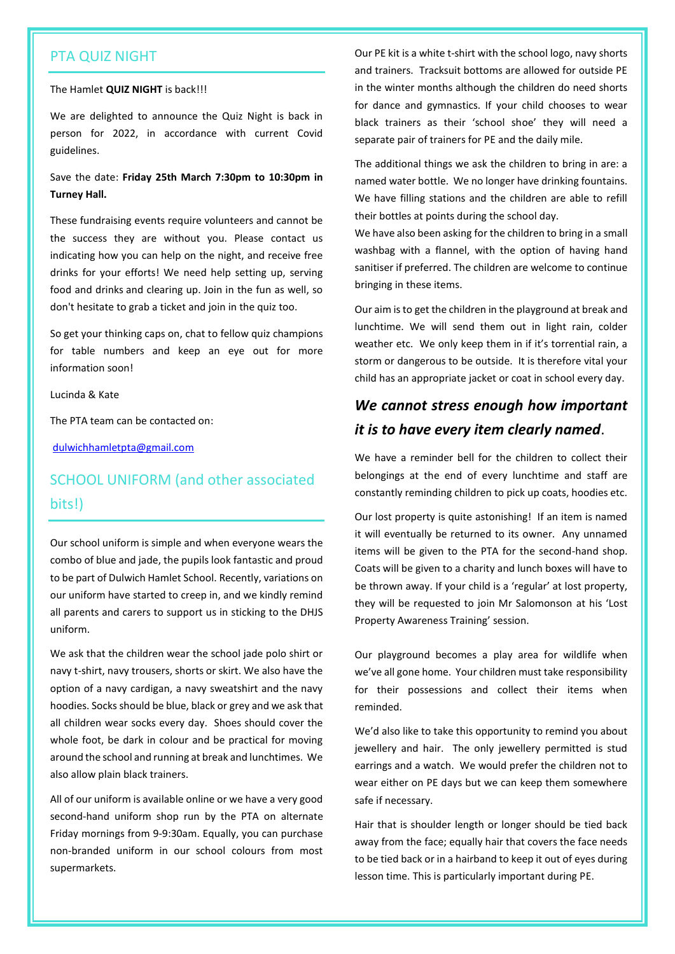### PTA QUIZ NIGHT

#### The Hamlet **QUIZ NIGHT** is back!!!

We are delighted to announce the Quiz Night is back in person for 2022, in accordance with current Covid guidelines.

### Save the date: **Friday 25th March 7:30pm to 10:30pm in Turney Hall.**

These fundraising events require volunteers and cannot be the success they are without you. Please contact us indicating how you can help on the night, and receive free drinks for your efforts! We need help setting up, serving food and drinks and clearing up. Join in the fun as well, so don't hesitate to grab a ticket and join in the quiz too.

So get your thinking caps on, chat to fellow quiz champions for table numbers and keep an eye out for more information soon!

Lucinda & Kate

The PTA team can be contacted on:

[dulwichhamletpta@gmail.com](mailto:dulwichhamletpta@gmail.com)

### SCHOOL UNIFORM (and other associated bits!)

Our school uniform is simple and when everyone wears the combo of blue and jade, the pupils look fantastic and proud to be part of Dulwich Hamlet School. Recently, variations on our uniform have started to creep in, and we kindly remind all parents and carers to support us in sticking to the DHJS uniform.

We ask that the children wear the school jade polo shirt or navy t-shirt, navy trousers, shorts or skirt. We also have the option of a navy cardigan, a navy sweatshirt and the navy hoodies. Socks should be blue, black or grey and we ask that all children wear socks every day. Shoes should cover the whole foot, be dark in colour and be practical for moving around the school and running at break and lunchtimes. We also allow plain black trainers.

All of our uniform is available online or we have a very good second-hand uniform shop run by the PTA on alternate Friday mornings from 9-9:30am. Equally, you can purchase non-branded uniform in our school colours from most supermarkets.

Our PE kit is a white t-shirt with the school logo, navy shorts and trainers. Tracksuit bottoms are allowed for outside PE in the winter months although the children do need shorts for dance and gymnastics. If your child chooses to wear black trainers as their 'school shoe' they will need a separate pair of trainers for PE and the daily mile.

The additional things we ask the children to bring in are: a named water bottle. We no longer have drinking fountains. We have filling stations and the children are able to refill their bottles at points during the school day.

We have also been asking for the children to bring in a small washbag with a flannel, with the option of having hand sanitiser if preferred. The children are welcome to continue bringing in these items.

Our aim is to get the children in the playground at break and lunchtime. We will send them out in light rain, colder weather etc. We only keep them in if it's torrential rain, a storm or dangerous to be outside. It is therefore vital your child has an appropriate jacket or coat in school every day.

## *We cannot stress enough how important it is to have every item clearly named*.

We have a reminder bell for the children to collect their belongings at the end of every lunchtime and staff are constantly reminding children to pick up coats, hoodies etc.

Our lost property is quite astonishing! If an item is named it will eventually be returned to its owner. Any unnamed items will be given to the PTA for the second-hand shop. Coats will be given to a charity and lunch boxes will have to be thrown away. If your child is a 'regular' at lost property, they will be requested to join Mr Salomonson at his 'Lost Property Awareness Training' session.

Our playground becomes a play area for wildlife when we've all gone home. Your children must take responsibility for their possessions and collect their items when reminded.

We'd also like to take this opportunity to remind you about jewellery and hair. The only jewellery permitted is stud earrings and a watch. We would prefer the children not to wear either on PE days but we can keep them somewhere safe if necessary.

Hair that is shoulder length or longer should be tied back away from the face; equally hair that covers the face needs to be tied back or in a hairband to keep it out of eyes during lesson time. This is particularly important during PE.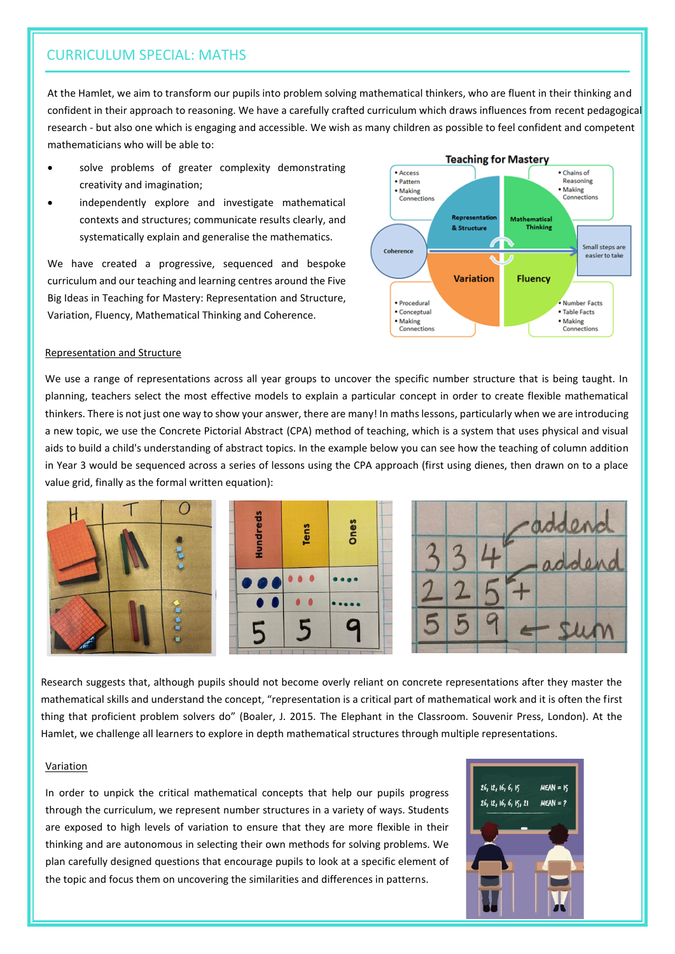### CURRICULUM SPECIAL: MATHS

At the Hamlet, we aim to transform our pupils into problem solving mathematical thinkers, who are fluent in their thinking and confident in their approach to reasoning. We have a carefully crafted curriculum which draws influences from recent pedagogical research - but also one which is engaging and accessible. We wish as many children as possible to feel confident and competent mathematicians who will be able to:

- solve problems of greater complexity demonstrating creativity and imagination;
- independently explore and investigate mathematical contexts and structures; communicate results clearly, and systematically explain and generalise the mathematics.

We have created a progressive, sequenced and bespoke curriculum and our teaching and learning centres around the Five Big Ideas in Teaching for Mastery: Representation and Structure, Variation, Fluency, Mathematical Thinking and Coherence.



#### Representation and Structure

We use a range of representations across all year groups to uncover the specific number structure that is being taught. In planning, teachers select the most effective models to explain a particular concept in order to create flexible mathematical thinkers. There is not just one way to show your answer, there are many! In maths lessons, particularly when we are introducing a new topic, we use the Concrete Pictorial Abstract (CPA) method of teaching, which is a system that uses physical and visual aids to build a child's understanding of abstract topics. In the example below you can see how the teaching of column addition in Year 3 would be sequenced across a series of lessons using the CPA approach (first using dienes, then drawn on to a place value grid, finally as the formal written equation):



Research suggests that, although pupils should not become overly reliant on concrete representations after they master the mathematical skills and understand the concept, "representation is a critical part of mathematical work and it is often the first thing that proficient problem solvers do" (Boaler, J. 2015. The Elephant in the Classroom. Souvenir Press, London). At the Hamlet, we challenge all learners to explore in depth mathematical structures through multiple representations.

#### Variation

In order to unpick the critical mathematical concepts that help our pupils progress through the curriculum, we represent number structures in a variety of ways. Students are exposed to high levels of variation to ensure that they are more flexible in their thinking and are autonomous in selecting their own methods for solving problems. We plan carefully designed questions that encourage pupils to look at a specific element of the topic and focus them on uncovering the similarities and differences in patterns.

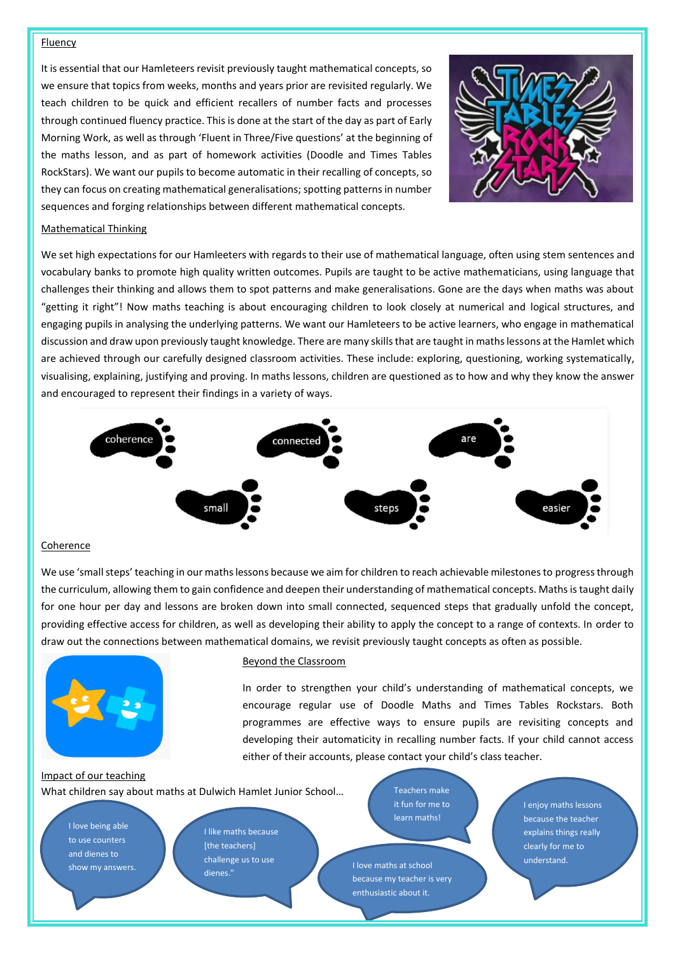#### Fluency

It is essential that our Hamleteers revisit previously taught mathematical concepts, so we ensure that topics from weeks, months and years prior are revisited regularly. We teach children to be quick and efficient recallers of number facts and processes through continued fluency practice. This is done at the start of the day as part of Early Morning Work, as well as through 'Fluent in Three/Five questions' at the beginning of the maths lesson, and as part of homework activities (Doodle and Times Tables RockStars). We want our pupils to become automatic in their recalling of concepts, so they can focus on creating mathematical generalisations; spotting patterns in number sequences and forging relationships between different mathematical concepts.



#### Mathematical Thinking

We set high expectations for our Hamleeters with regards to their use of mathematical language, often using stem sentences and vocabulary banks to promote high quality written outcomes. Pupils are taught to be active mathematicians, using language that challenges their thinking and allows them to spot patterns and make generalisations. Gone are the days when maths was about "getting it right"! Now maths teaching is about encouraging children to look closely at numerical and logical structures, and engaging pupils in analysing the underlying patterns. We want our Hamleteers to be active learners, who engage in mathematical discussion and draw upon previously taught knowledge. There are many skills that are taught in maths lessons at the Hamlet which are achieved through our carefully designed classroom activities. These include: exploring, questioning, working systematically, visualising, explaining, justifying and proving. In maths lessons, children are questioned as to how and why they know the answer and encouraged to represent their findings in a variety of ways.



#### Coherence

We use 'small steps' teaching in our maths lessons because we aim for children to reach achievable milestones to progress through the curriculum, allowing them to gain confidence and deepen their understanding of mathematical concepts. Maths is taught daily for one hour per day and lessons are broken down into small connected, sequenced steps that gradually unfold the concept, providing effective access for children, as well as developing their ability to apply the concept to a range of contexts. In order to draw out the connections between mathematical domains, we revisit previously taught concepts as often as possible.



#### Beyond the Classroom

In order to strengthen your child's understanding of mathematical concepts, we encourage regular use of Doodle Maths and Times Tables Rockstars. Both programmes are effective ways to ensure pupils are revisiting concepts and developing their automaticity in recalling number facts. If your child cannot access either of their accounts, please contact your child's class teacher.

Impact of our teaching What children say about maths at Dulwich Hamlet Junior School…

I love being able to use counters and dienes to

I like maths because [the teachers] challenge us to use dienes." show my answers. The conditions of the condition of the set of the set of the set of the set of the set of the set of the set of the set of the set of the set of the set of the set of the set of the set of the set of the s

Teachers make it fun for me to learn maths!

because my teacher is very enthusiastic about it.

I enjoy maths lessons because the teacher explains things really clearly for me to understand.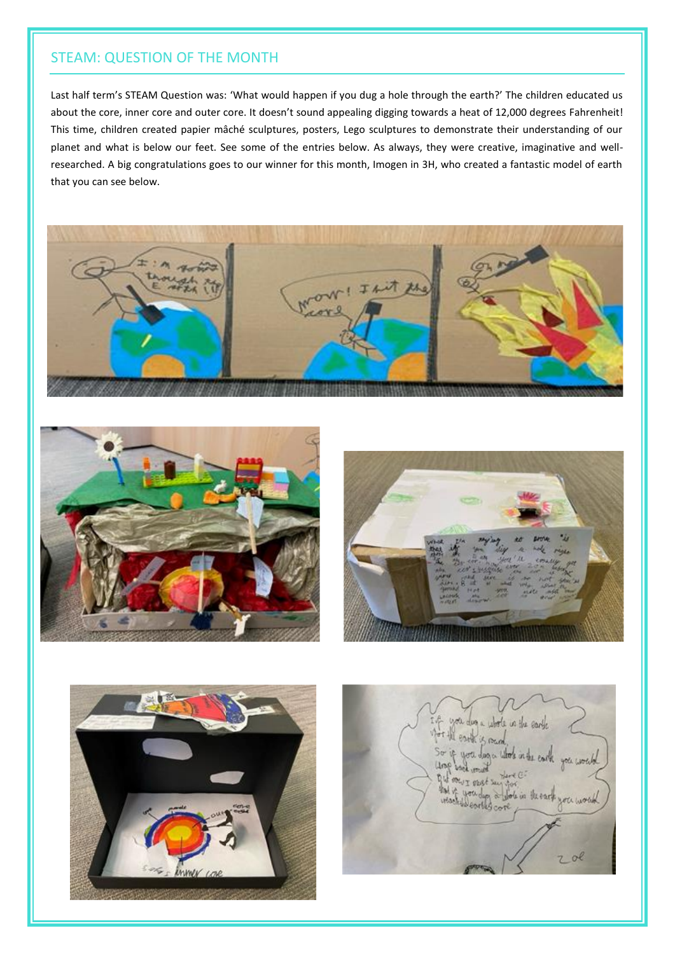### STEAM: QUESTION OF THE MONTH

Last half term's STEAM Question was: 'What would happen if you dug a hole through the earth?' The children educated us about the core, inner core and outer core. It doesn't sound appealing digging towards a heat of 12,000 degrees Fahrenheit! This time, children created papier mâché sculptures, posters, Lego sculptures to demonstrate their understanding of our planet and what is below our feet. See some of the entries below. As always, they were creative, imaginative and wellresearched. A big congratulations goes to our winner for this month, Imogen in 3H, who created a fantastic model of earth that you can see below.









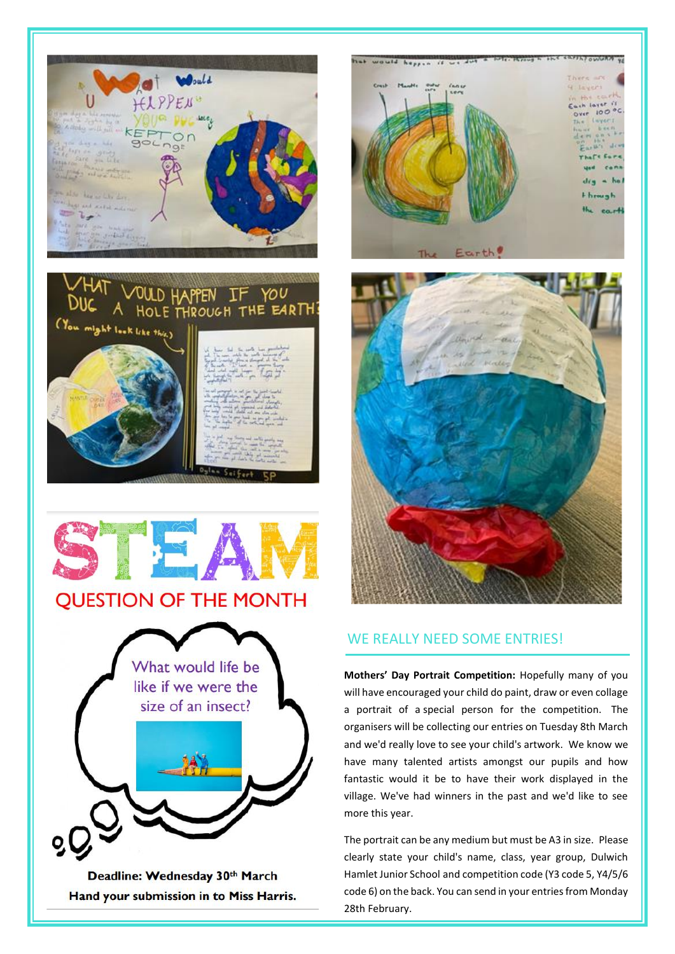



Deadline: Wednesday 30th March Hand your submission in to Miss Harris.





### WE REALLY NEED SOME ENTRIES!

**Mothers' Day Portrait Competition:** Hopefully many of you will have encouraged your child do paint, draw or even collage a portrait of a special person for the competition. The organisers will be collecting our entries on Tuesday 8th March and we'd really love to see your child's artwork. We know we have many talented artists amongst our pupils and how fantastic would it be to have their work displayed in the village. We've had winners in the past and we'd like to see more this year.

The portrait can be any medium but must be A3 in size. Please clearly state your child's name, class, year group, Dulwich Hamlet Junior School and competition code (Y3 code 5, Y4/5/6 code 6) on the back. You can send in your entries from Monday 28th February.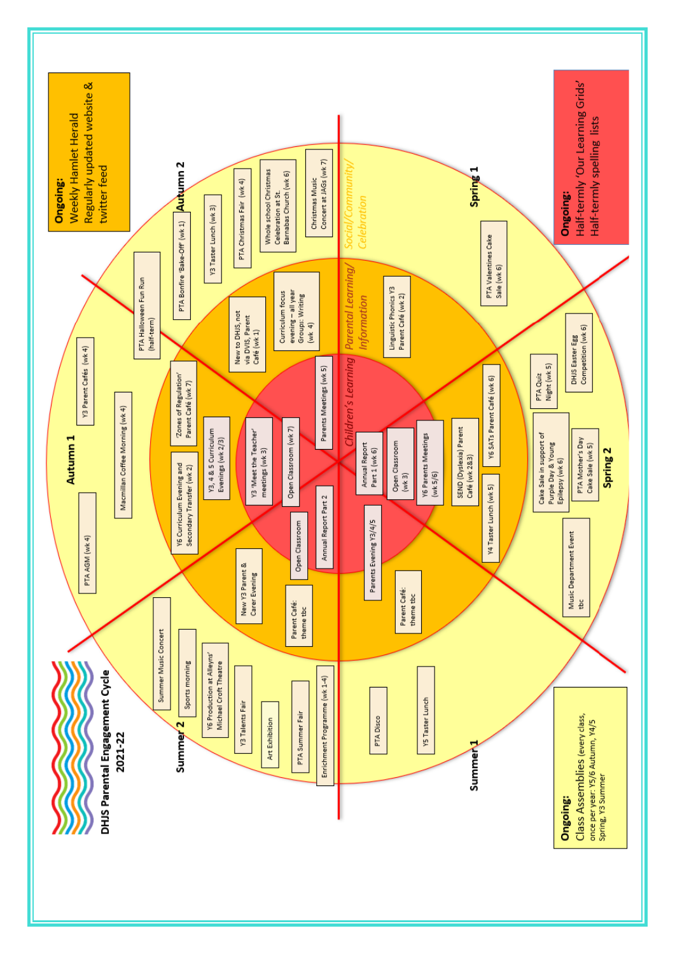![](_page_6_Figure_0.jpeg)